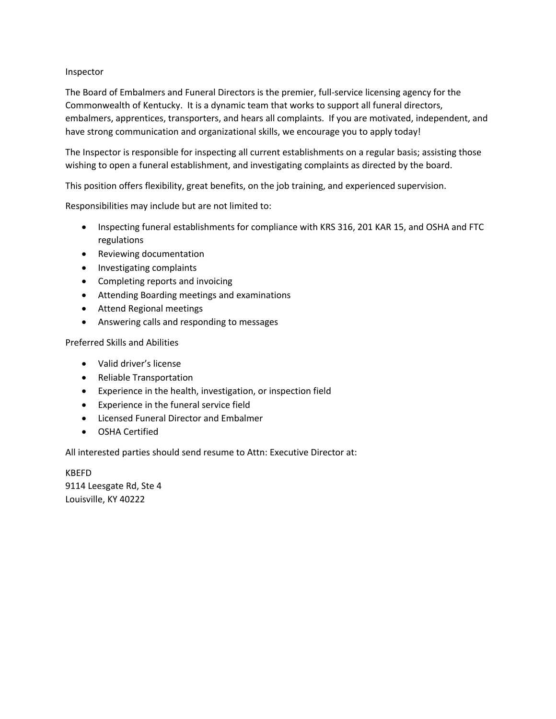Inspector

The Board of Embalmers and Funeral Directors is the premier, full-service licensing agency for the Commonwealth of Kentucky. It is a dynamic team that works to support all funeral directors, embalmers, apprentices, transporters, and hears all complaints. If you are motivated, independent, and have strong communication and organizational skills, we encourage you to apply today!

The Inspector is responsible for inspecting all current establishments on a regular basis; assisting those wishing to open a funeral establishment, and investigating complaints as directed by the board.

This position offers flexibility, great benefits, on the job training, and experienced supervision.

Responsibilities may include but are not limited to:

- Inspecting funeral establishments for compliance with KRS 316, 201 KAR 15, and OSHA and FTC regulations
- Reviewing documentation
- Investigating complaints
- Completing reports and invoicing
- Attending Boarding meetings and examinations
- Attend Regional meetings
- Answering calls and responding to messages

Preferred Skills and Abilities

- Valid driver's license
- Reliable Transportation
- Experience in the health, investigation, or inspection field
- Experience in the funeral service field
- Licensed Funeral Director and Embalmer
- OSHA Certified

All interested parties should send resume to Attn: Executive Director at:

KBEFD 9114 Leesgate Rd, Ste 4 Louisville, KY 40222